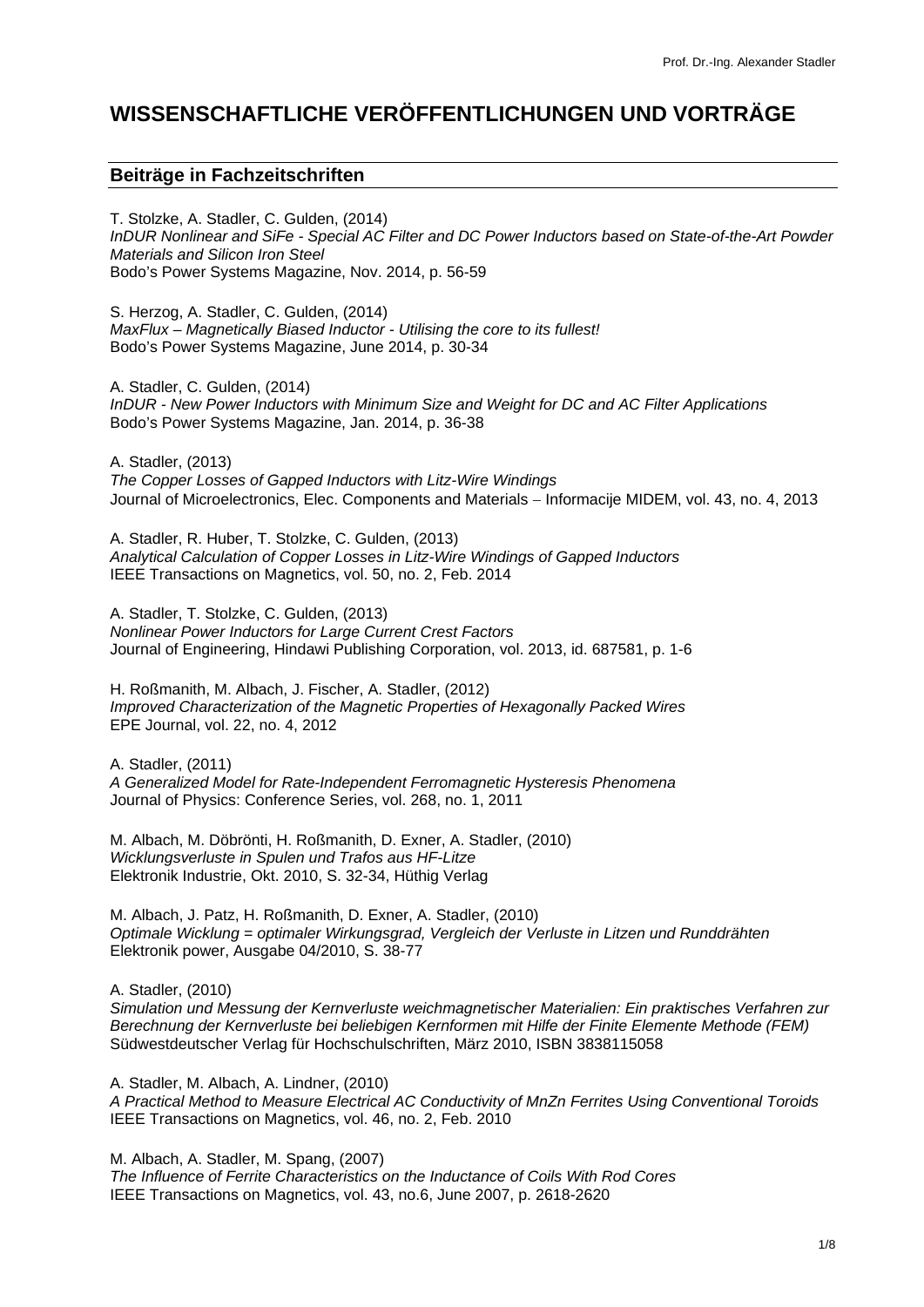# **WISSENSCHAFTLICHE VERÖFFENTLICHUNGEN UND VORTRÄGE**

# **Beiträge in Fachzeitschriften**

T. Stolzke, A. Stadler, C. Gulden, (2014) *InDUR Nonlinear and SiFe - Special AC Filter and DC Power Inductors based on State-of-the-Art Powder Materials and Silicon Iron Steel* Bodo's Power Systems Magazine, Nov. 2014, p. 56-59

S. Herzog, A. Stadler, C. Gulden, (2014) *MaxFlux – Magnetically Biased Inductor - Utilising the core to its fullest!* Bodo's Power Systems Magazine, June 2014, p. 30-34

A. Stadler, C. Gulden, (2014) *InDUR - New Power Inductors with Minimum Size and Weight for DC and AC Filter Applications* Bodo's Power Systems Magazine, Jan. 2014, p. 36-38

A. Stadler, (2013) *The Copper Losses of Gapped Inductors with Litz-Wire Windings* Journal of Microelectronics, Elec. Components and Materials − Informacije MIDEM, vol. 43, no. 4, 2013

A. Stadler, R. Huber, T. Stolzke, C. Gulden, (2013) *Analytical Calculation of Copper Losses in Litz-Wire Windings of Gapped Inductors* IEEE Transactions on Magnetics, vol. 50, no. 2, Feb. 2014

A. Stadler, T. Stolzke, C. Gulden, (2013) *Nonlinear Power Inductors for Large Current Crest Factors* Journal of Engineering, Hindawi Publishing Corporation, vol. 2013, id. 687581, p. 1-6

H. Roßmanith, M. Albach, J. Fischer, A. Stadler, (2012) *Improved Characterization of the Magnetic Properties of Hexagonally Packed Wires* EPE Journal, vol. 22, no. 4, 2012

A. Stadler, (2011) *A Generalized Model for Rate-Independent Ferromagnetic Hysteresis Phenomena* Journal of Physics: Conference Series, vol. 268, no. 1, 2011

M. Albach, M. Döbrönti, H. Roßmanith, D. Exner, A. Stadler, (2010) *Wicklungsverluste in Spulen und Trafos aus HF-Litze* Elektronik Industrie, Okt. 2010, S. 32-34, Hüthig Verlag

M. Albach, J. Patz, H. Roßmanith, D. Exner, A. Stadler, (2010) *Optimale Wicklung = optimaler Wirkungsgrad, Vergleich der Verluste in Litzen und Runddrähten* Elektronik power, Ausgabe 04/2010, S. 38-77

A. Stadler, (2010) *Simulation und Messung der Kernverluste weichmagnetischer Materialien: Ein praktisches Verfahren zur Berechnung der Kernverluste bei beliebigen Kernformen mit Hilfe der Finite Elemente Methode (FEM)* Südwestdeutscher Verlag für Hochschulschriften, März 2010, ISBN 3838115058

A. Stadler, M. Albach, A. Lindner, (2010) *A Practical Method to Measure Electrical AC Conductivity of MnZn Ferrites Using Conventional Toroids* IEEE Transactions on Magnetics, vol. 46, no. 2, Feb. 2010

M. Albach, A. Stadler, M. Spang, (2007) *The Influence of Ferrite Characteristics on the Inductance of Coils With Rod Cores* IEEE Transactions on Magnetics, vol. 43, no.6, June 2007, p. 2618-2620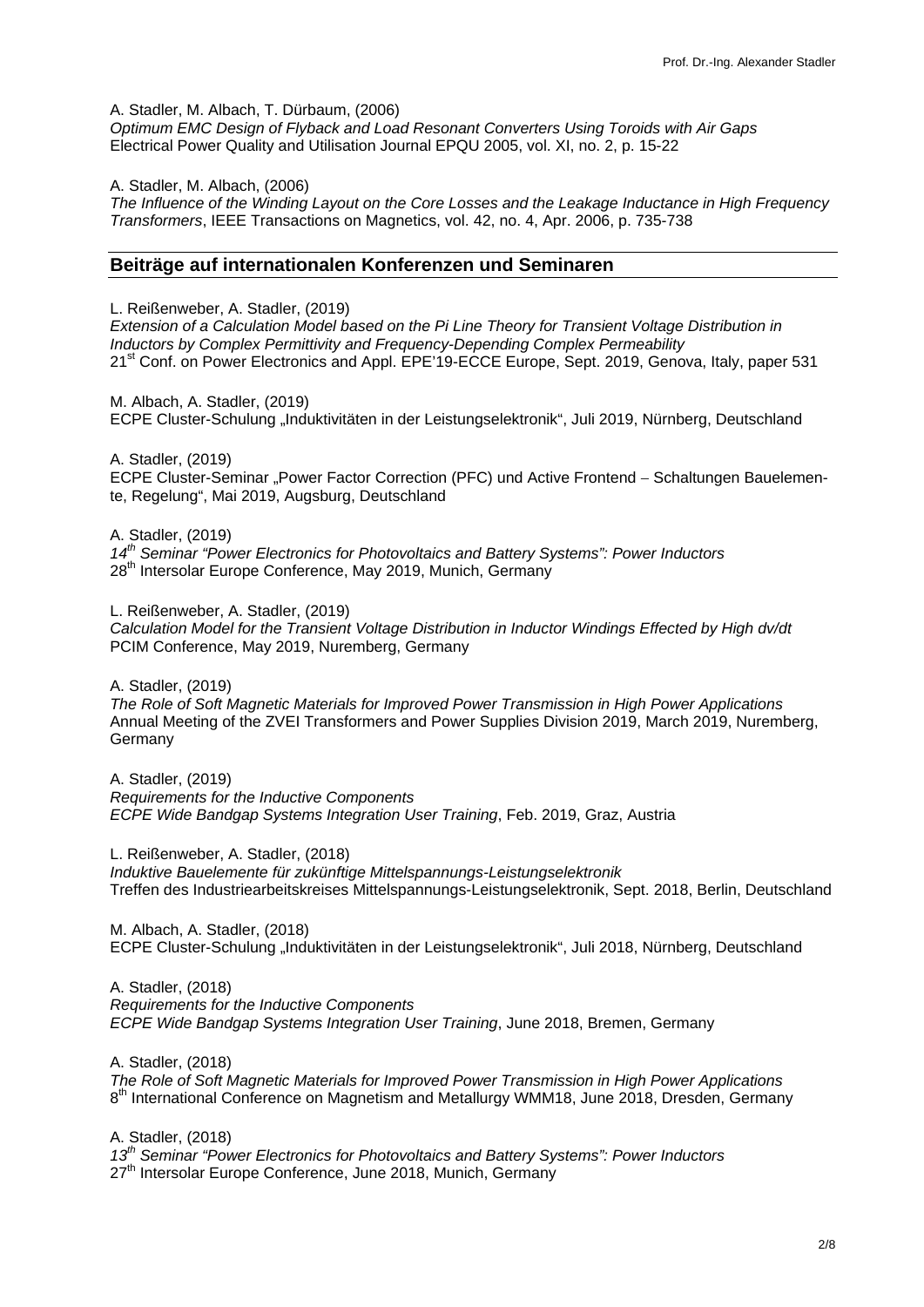A. Stadler, M. Albach, T. Dürbaum, (2006)

*Optimum EMC Design of Flyback and Load Resonant Converters Using Toroids with Air Gaps* Electrical Power Quality and Utilisation Journal EPQU 2005, vol. XI, no. 2, p. 15-22

A. Stadler, M. Albach, (2006)

*The Influence of the Winding Layout on the Core Losses and the Leakage Inductance in High Frequency Transformers*, IEEE Transactions on Magnetics, vol. 42, no. 4, Apr. 2006, p. 735-738

#### **Beiträge auf internationalen Konferenzen und Seminaren**

L. Reißenweber, A. Stadler, (2019) *Extension of a Calculation Model based on the Pi Line Theory for Transient Voltage Distribution in Inductors by Complex Permittivity and Frequency-Depending Complex Permeability* 21<sup>st</sup> Conf. on Power Electronics and Appl. EPE'19-ECCE Europe, Sept. 2019, Genova, Italy, paper 531

M. Albach, A. Stadler, (2019) ECPE Cluster-Schulung "Induktivitäten in der Leistungselektronik", Juli 2019, Nürnberg, Deutschland

A. Stadler, (2019) ECPE Cluster-Seminar "Power Factor Correction (PFC) und Active Frontend – Schaltungen Bauelemente, Regelung", Mai 2019, Augsburg, Deutschland

A. Stadler, (2019) *14th Seminar "Power Electronics for Photovoltaics and Battery Systems": Power Inductors* 28<sup>th</sup> Intersolar Europe Conference, May 2019, Munich, Germany

L. Reißenweber, A. Stadler, (2019) *Calculation Model for the Transient Voltage Distribution in Inductor Windings Effected by High dv/dt* PCIM Conference, May 2019, Nuremberg, Germany

A. Stadler, (2019)

*The Role of Soft Magnetic Materials for Improved Power Transmission in High Power Applications*  Annual Meeting of the ZVEI Transformers and Power Supplies Division 2019, March 2019, Nuremberg, Germany

A. Stadler, (2019) *Requirements for the Inductive Components ECPE Wide Bandgap Systems Integration User Training*, Feb. 2019, Graz, Austria

L. Reißenweber, A. Stadler, (2018)

*Induktive Bauelemente für zukünftige Mittelspannungs-Leistungselektronik* Treffen des Industriearbeitskreises Mittelspannungs-Leistungselektronik, Sept. 2018, Berlin, Deutschland

M. Albach, A. Stadler, (2018) ECPE Cluster-Schulung "Induktivitäten in der Leistungselektronik", Juli 2018, Nürnberg, Deutschland

A. Stadler, (2018) *Requirements for the Inductive Components ECPE Wide Bandgap Systems Integration User Training*, June 2018, Bremen, Germany

A. Stadler, (2018)

*The Role of Soft Magnetic Materials for Improved Power Transmission in High Power Applications* 8<sup>th</sup> International Conference on Magnetism and Metallurgy WMM18, June 2018, Dresden, Germany

A. Stadler, (2018) *13th Seminar "Power Electronics for Photovoltaics and Battery Systems": Power Inductors* 27<sup>th</sup> Intersolar Europe Conference, June 2018, Munich, Germany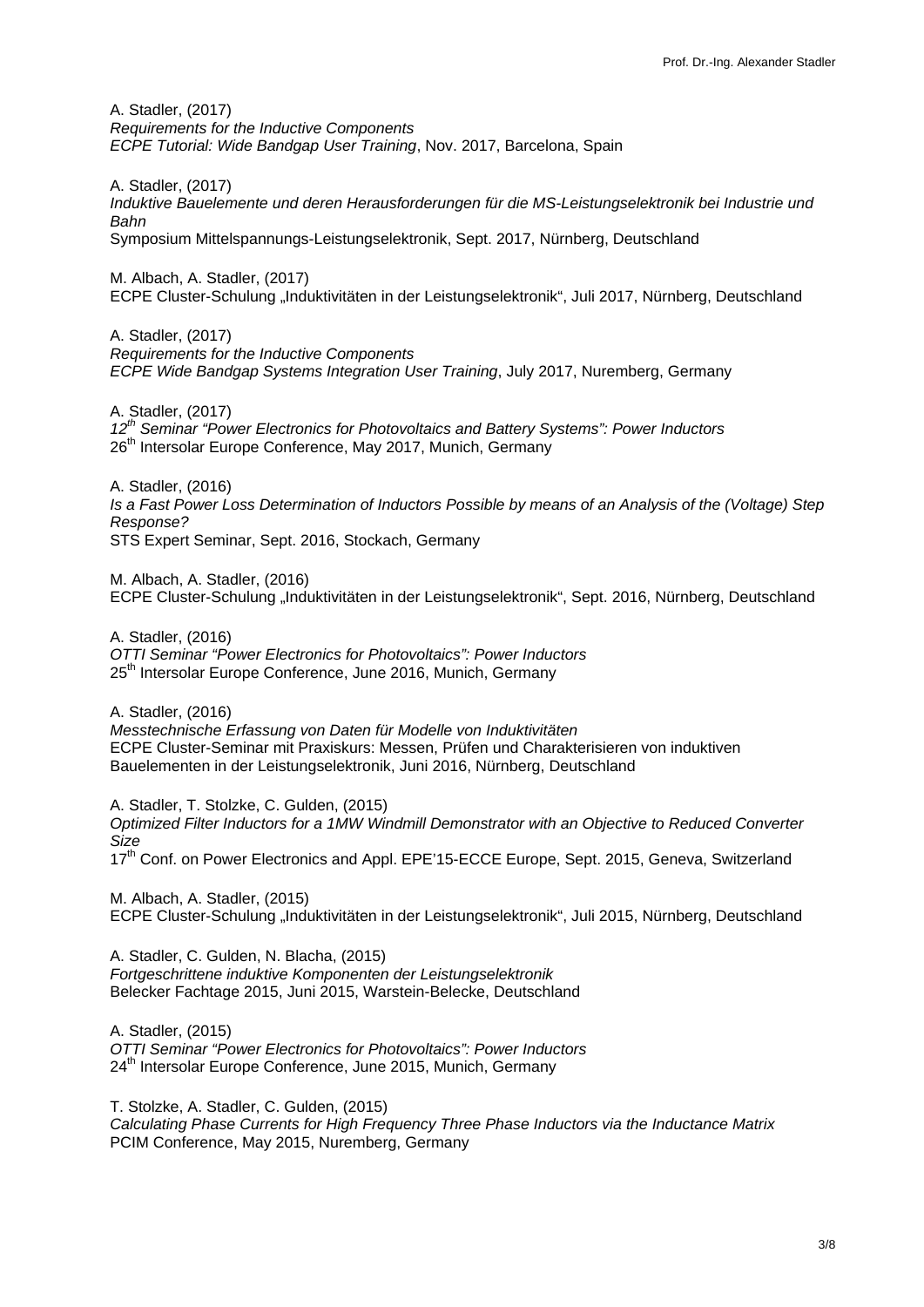A. Stadler, (2017) *Requirements for the Inductive Components ECPE Tutorial: Wide Bandgap User Training*, Nov. 2017, Barcelona, Spain

A. Stadler, (2017) *Induktive Bauelemente und deren Herausforderungen für die MS-Leistungselektronik bei Industrie und Bahn* Symposium Mittelspannungs-Leistungselektronik, Sept. 2017, Nürnberg, Deutschland

M. Albach, A. Stadler, (2017) ECPE Cluster-Schulung "Induktivitäten in der Leistungselektronik", Juli 2017, Nürnberg, Deutschland

A. Stadler, (2017) *Requirements for the Inductive Components ECPE Wide Bandgap Systems Integration User Training*, July 2017, Nuremberg, Germany

A. Stadler, (2017) *12th Seminar "Power Electronics for Photovoltaics and Battery Systems": Power Inductors* 26<sup>th</sup> Intersolar Europe Conference, May 2017, Munich, Germany

A. Stadler, (2016) *Is a Fast Power Loss Determination of Inductors Possible by means of an Analysis of the (Voltage) Step Response?* STS Expert Seminar, Sept. 2016, Stockach, Germany

M. Albach, A. Stadler, (2016) ECPE Cluster-Schulung "Induktivitäten in der Leistungselektronik", Sept. 2016, Nürnberg, Deutschland

A. Stadler, (2016) *OTTI Seminar "Power Electronics for Photovoltaics": Power Inductors* 25<sup>th</sup> Intersolar Europe Conference, June 2016, Munich, Germany

A. Stadler, (2016) *Messtechnische Erfassung von Daten für Modelle von Induktivitäten* ECPE Cluster-Seminar mit Praxiskurs: Messen, Prüfen und Charakterisieren von induktiven Bauelementen in der Leistungselektronik, Juni 2016, Nürnberg, Deutschland

A. Stadler, T. Stolzke, C. Gulden, (2015) *Optimized Filter Inductors for a 1MW Windmill Demonstrator with an Objective to Reduced Converter Size* 17<sup>th</sup> Conf. on Power Electronics and Appl. EPE'15-ECCE Europe, Sept. 2015, Geneva, Switzerland

M. Albach, A. Stadler, (2015) ECPE Cluster-Schulung "Induktivitäten in der Leistungselektronik", Juli 2015, Nürnberg, Deutschland

A. Stadler, C. Gulden, N. Blacha, (2015) *Fortgeschrittene induktive Komponenten der Leistungselektronik* Belecker Fachtage 2015, Juni 2015, Warstein-Belecke, Deutschland

A. Stadler, (2015) *OTTI Seminar "Power Electronics for Photovoltaics": Power Inductors* 24<sup>th</sup> Intersolar Europe Conference, June 2015, Munich, Germany

T. Stolzke, A. Stadler, C. Gulden, (2015) *Calculating Phase Currents for High Frequency Three Phase Inductors via the Inductance Matrix* PCIM Conference, May 2015, Nuremberg, Germany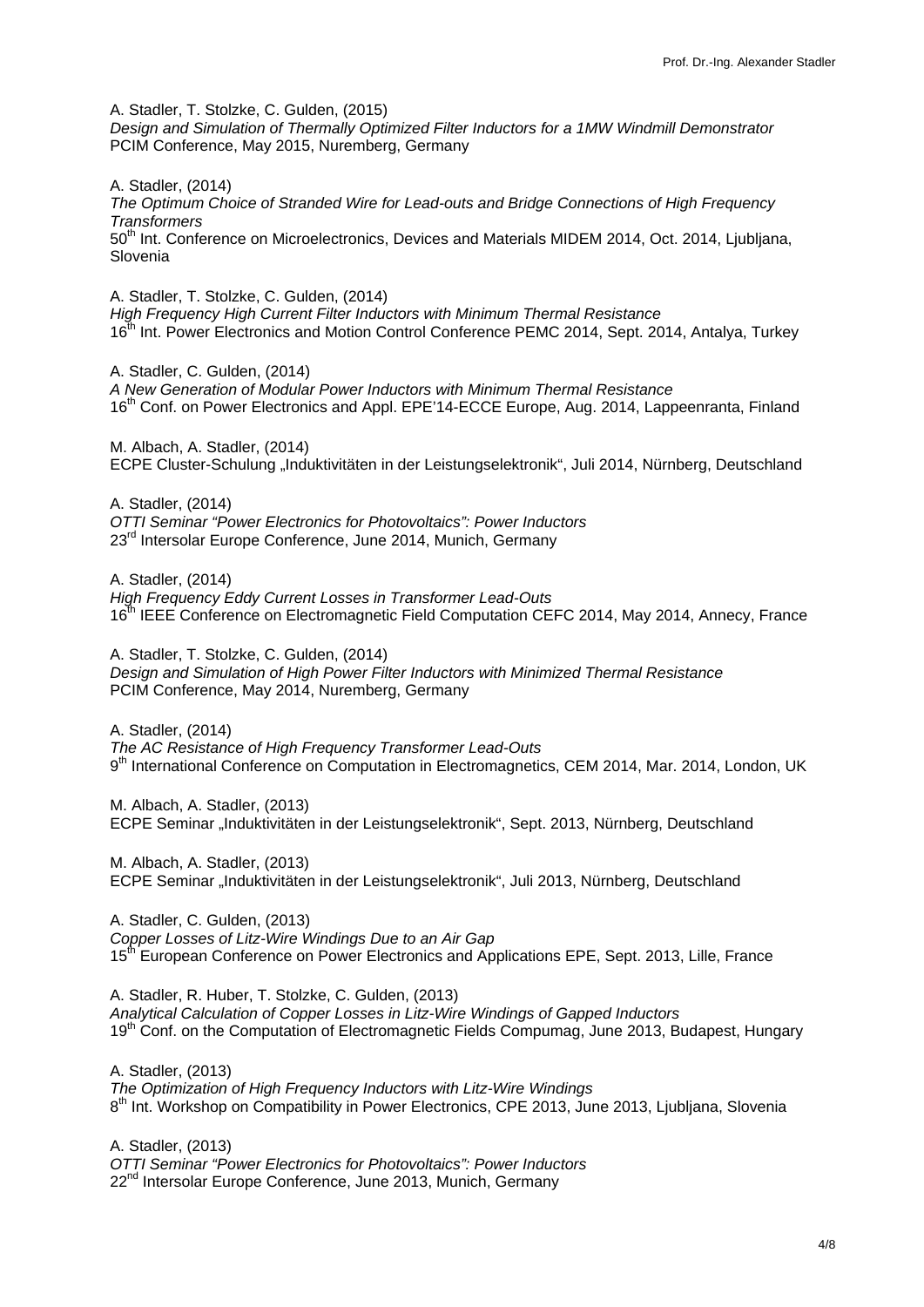A. Stadler, T. Stolzke, C. Gulden, (2015) *Design and Simulation of Thermally Optimized Filter Inductors for a 1MW Windmill Demonstrator* PCIM Conference, May 2015, Nuremberg, Germany

A. Stadler, (2014) *The Optimum Choice of Stranded Wire for Lead-outs and Bridge Connections of High Frequency Transformers* 50<sup>th</sup> Int. Conference on Microelectronics, Devices and Materials MIDEM 2014, Oct. 2014, Ljubljana, Slovenia

A. Stadler, T. Stolzke, C. Gulden, (2014) *High Frequency High Current Filter Inductors with Minimum Thermal Resistance*  16<sup>th</sup> Int. Power Electronics and Motion Control Conference PEMC 2014, Sept. 2014, Antalya, Turkey

A. Stadler, C. Gulden, (2014) *A New Generation of Modular Power Inductors with Minimum Thermal Resistance* 16<sup>th</sup> Conf. on Power Electronics and Appl. EPE'14-ECCE Europe, Aug. 2014, Lappeenranta, Finland

M. Albach, A. Stadler, (2014) ECPE Cluster-Schulung "Induktivitäten in der Leistungselektronik", Juli 2014, Nürnberg, Deutschland

A. Stadler, (2014) *OTTI Seminar "Power Electronics for Photovoltaics": Power Inductors* 23<sup>rd</sup> Intersolar Europe Conference, June 2014, Munich, Germany

A. Stadler, (2014) *High Frequency Eddy Current Losses in Transformer Lead-Outs* 16<sup>th</sup> IEEE Conference on Electromagnetic Field Computation CEFC 2014, May 2014, Annecy, France

A. Stadler, T. Stolzke, C. Gulden, (2014) *Design and Simulation of High Power Filter Inductors with Minimized Thermal Resistance* PCIM Conference, May 2014, Nuremberg, Germany

A. Stadler, (2014) *The AC Resistance of High Frequency Transformer Lead-Outs* 9<sup>th</sup> International Conference on Computation in Electromagnetics, CEM 2014, Mar. 2014, London, UK

M. Albach, A. Stadler, (2013) ECPE Seminar "Induktivitäten in der Leistungselektronik", Sept. 2013, Nürnberg, Deutschland

M. Albach, A. Stadler, (2013) ECPE Seminar "Induktivitäten in der Leistungselektronik", Juli 2013, Nürnberg, Deutschland

A. Stadler, C. Gulden, (2013) *Copper Losses of Litz-Wire Windings Due to an Air Gap* 15<sup>th</sup> European Conference on Power Electronics and Applications EPE, Sept. 2013, Lille, France

A. Stadler, R. Huber, T. Stolzke, C. Gulden, (2013) *Analytical Calculation of Copper Losses in Litz-Wire Windings of Gapped Inductors* 19<sup>th</sup> Conf. on the Computation of Electromagnetic Fields Compumag, June 2013, Budapest, Hungary

A. Stadler, (2013) *The Optimization of High Frequency Inductors with Litz-Wire Windings* 8<sup>th</sup> Int. Workshop on Compatibility in Power Electronics, CPE 2013, June 2013, Liubliana, Slovenia

A. Stadler, (2013) *OTTI Seminar "Power Electronics for Photovoltaics": Power Inductors* 22<sup>nd</sup> Intersolar Europe Conference, June 2013, Munich, Germany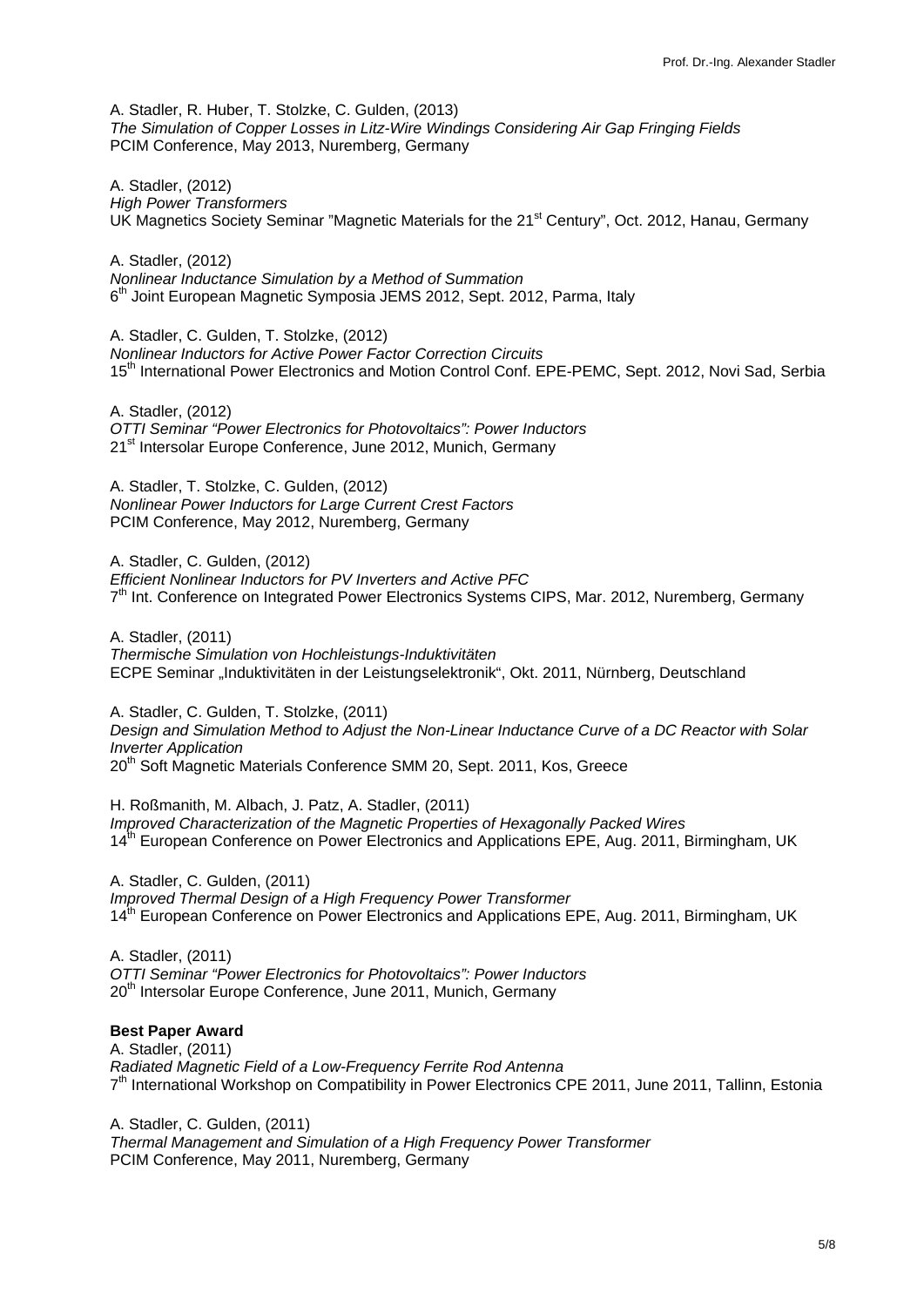A. Stadler, R. Huber, T. Stolzke, C. Gulden, (2013) *The Simulation of Copper Losses in Litz-Wire Windings Considering Air Gap Fringing Fields* PCIM Conference, May 2013, Nuremberg, Germany

A. Stadler, (2012) *High Power Transformers* UK Magnetics Society Seminar "Magnetic Materials for the 21<sup>st</sup> Century", Oct. 2012, Hanau, Germany

A. Stadler, (2012) *Nonlinear Inductance Simulation by a Method of Summation* 6<sup>th</sup> Joint European Magnetic Symposia JEMS 2012, Sept. 2012, Parma, Italy

A. Stadler, C. Gulden, T. Stolzke, (2012) *Nonlinear Inductors for Active Power Factor Correction Circuits* 15<sup>th</sup> International Power Electronics and Motion Control Conf. EPE-PEMC, Sept. 2012, Novi Sad, Serbia

A. Stadler, (2012) *OTTI Seminar "Power Electronics for Photovoltaics": Power Inductors* 21<sup>st</sup> Intersolar Europe Conference, June 2012, Munich, Germany

A. Stadler, T. Stolzke, C. Gulden, (2012) *Nonlinear Power Inductors for Large Current Crest Factors* PCIM Conference, May 2012, Nuremberg, Germany

A. Stadler, C. Gulden, (2012) *Efficient Nonlinear Inductors for PV Inverters and Active PFC*  $7<sup>th</sup>$  Int. Conference on Integrated Power Electronics Systems CIPS, Mar. 2012, Nuremberg, Germany

A. Stadler, (2011) *Thermische Simulation von Hochleistungs-Induktivitäten*  ECPE Seminar "Induktivitäten in der Leistungselektronik", Okt. 2011, Nürnberg, Deutschland

A. Stadler, C. Gulden, T. Stolzke, (2011) *Design and Simulation Method to Adjust the Non-Linear Inductance Curve of a DC Reactor with Solar Inverter Application* 20<sup>th</sup> Soft Magnetic Materials Conference SMM 20, Sept. 2011, Kos, Greece

H. Roßmanith, M. Albach, J. Patz, A. Stadler, (2011) *Improved Characterization of the Magnetic Properties of Hexagonally Packed Wires* 14<sup>th</sup> European Conference on Power Electronics and Applications EPE, Aug. 2011, Birmingham, UK

A. Stadler, C. Gulden, (2011) *Improved Thermal Design of a High Frequency Power Transformer* 14<sup>th</sup> European Conference on Power Electronics and Applications EPE, Aug. 2011, Birmingham, UK

A. Stadler, (2011) *OTTI Seminar "Power Electronics for Photovoltaics": Power Inductors* 20<sup>th</sup> Intersolar Europe Conference, June 2011, Munich, Germany

### **Best Paper Award**

A. Stadler, (2011) *Radiated Magnetic Field of a Low-Frequency Ferrite Rod Antenna*  $7<sup>th</sup>$  International Workshop on Compatibility in Power Electronics CPE 2011, June 2011, Tallinn, Estonia

A. Stadler, C. Gulden, (2011) *Thermal Management and Simulation of a High Frequency Power Transformer* PCIM Conference, May 2011, Nuremberg, Germany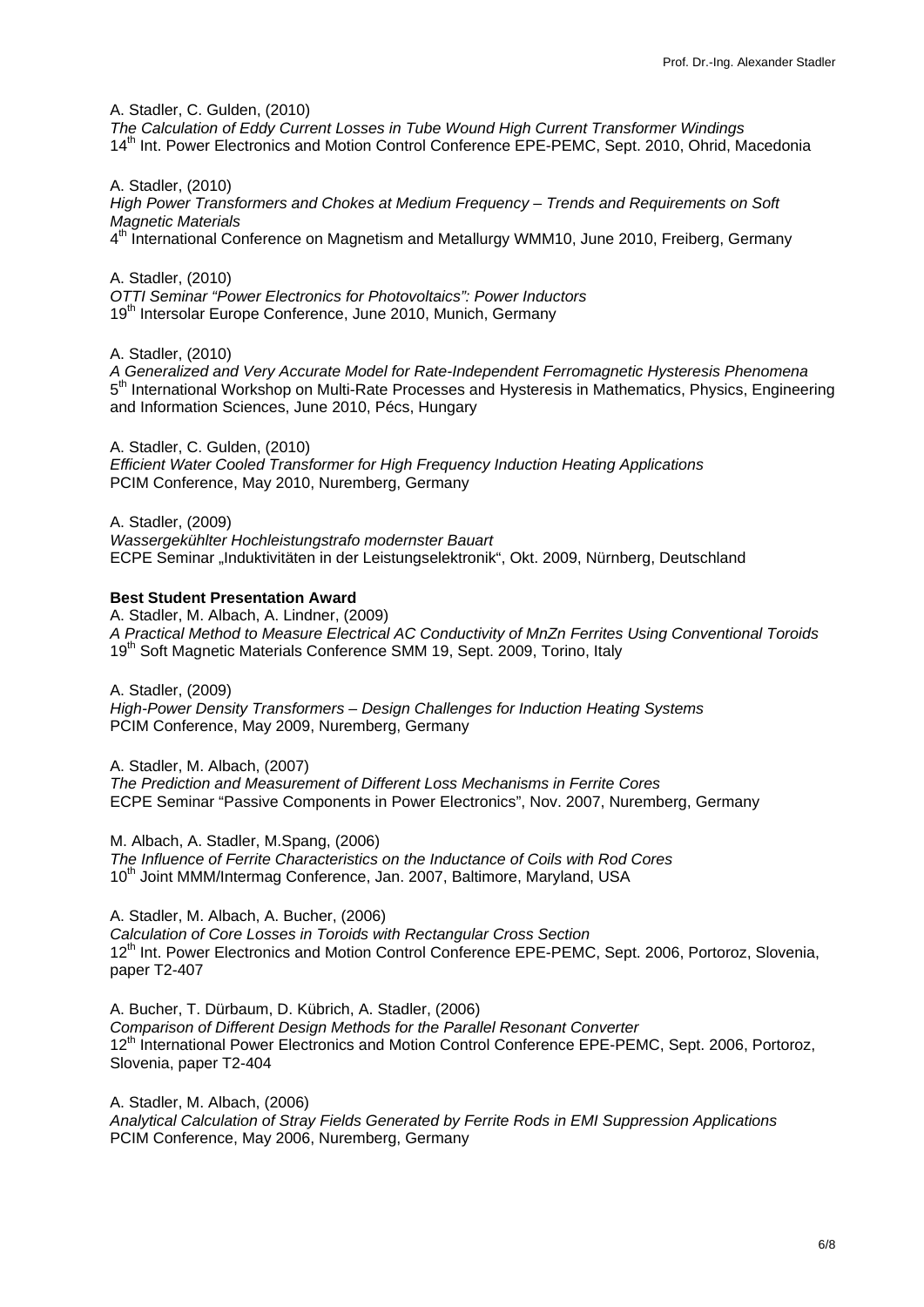A. Stadler, C. Gulden, (2010)

*The Calculation of Eddy Current Losses in Tube Wound High Current Transformer Windings* 14<sup>th</sup> Int. Power Electronics and Motion Control Conference EPE-PEMC, Sept. 2010, Ohrid, Macedonia

A. Stadler, (2010) *High Power Transformers and Chokes at Medium Frequency – Trends and Requirements on Soft Magnetic Materials* 4<sup>th</sup> International Conference on Magnetism and Metallurgy WMM10, June 2010, Freiberg, Germany

A. Stadler, (2010) *OTTI Seminar "Power Electronics for Photovoltaics": Power Inductors* 19<sup>th</sup> Intersolar Europe Conference, June 2010, Munich, Germany

A. Stadler, (2010)

*A Generalized and Very Accurate Model for Rate-Independent Ferromagnetic Hysteresis Phenomena*  $5<sup>th</sup>$  International Workshop on Multi-Rate Processes and Hysteresis in Mathematics, Physics, Engineering and Information Sciences, June 2010, Pécs, Hungary

A. Stadler, C. Gulden, (2010) *Efficient Water Cooled Transformer for High Frequency Induction Heating Applications* PCIM Conference, May 2010, Nuremberg, Germany

A. Stadler, (2009) *Wassergekühlter Hochleistungstrafo modernster Bauart* ECPE Seminar "Induktivitäten in der Leistungselektronik", Okt. 2009, Nürnberg, Deutschland

#### **Best Student Presentation Award**

A. Stadler, M. Albach, A. Lindner, (2009) *A Practical Method to Measure Electrical AC Conductivity of MnZn Ferrites Using Conventional Toroids* 19<sup>th</sup> Soft Magnetic Materials Conference SMM 19, Sept. 2009, Torino, Italy

A. Stadler, (2009) *High-Power Density Transformers – Design Challenges for Induction Heating Systems* PCIM Conference, May 2009, Nuremberg, Germany

A. Stadler, M. Albach, (2007)

*The Prediction and Measurement of Different Loss Mechanisms in Ferrite Cores* ECPE Seminar "Passive Components in Power Electronics", Nov. 2007, Nuremberg, Germany

M. Albach, A. Stadler, M.Spang, (2006)

*The Influence of Ferrite Characteristics on the Inductance of Coils with Rod Cores* 10<sup>th</sup> Joint MMM/Intermag Conference, Jan. 2007, Baltimore, Maryland, USA

A. Stadler, M. Albach, A. Bucher, (2006)

*Calculation of Core Losses in Toroids with Rectangular Cross Section* 12<sup>th</sup> Int. Power Electronics and Motion Control Conference EPE-PEMC, Sept. 2006, Portoroz, Slovenia, paper T2-407

A. Bucher, T. Dürbaum, D. Kübrich, A. Stadler, (2006) *Comparison of Different Design Methods for the Parallel Resonant Converter* 12<sup>th</sup> International Power Electronics and Motion Control Conference EPE-PEMC, Sept. 2006, Portoroz, Slovenia, paper T2-404

A. Stadler, M. Albach, (2006)

*Analytical Calculation of Stray Fields Generated by Ferrite Rods in EMI Suppression Applications* PCIM Conference, May 2006, Nuremberg, Germany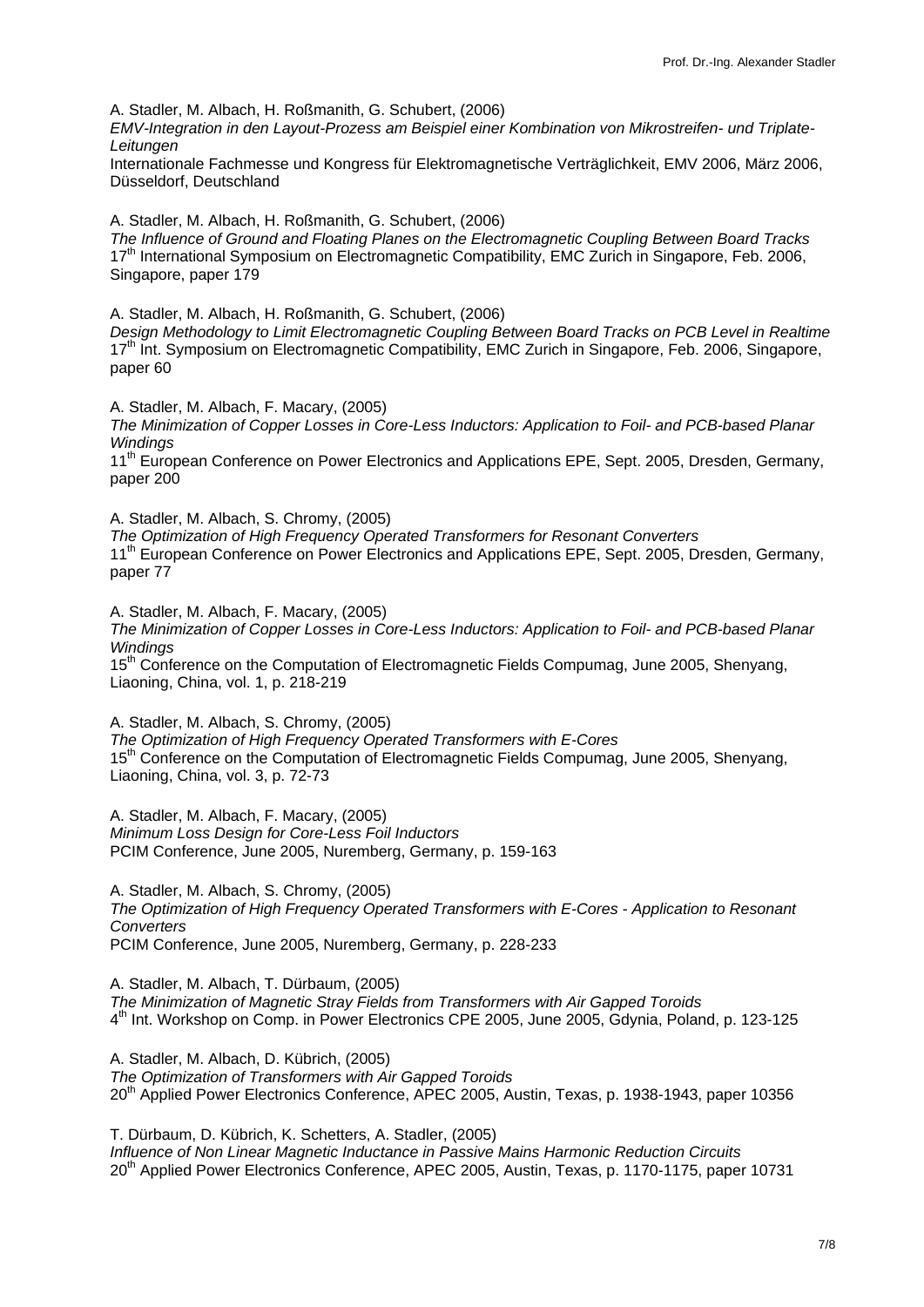A. Stadler, M. Albach, H. Roßmanith, G. Schubert, (2006)

*EMV-Integration in den Layout-Prozess am Beispiel einer Kombination von Mikrostreifen- und Triplate-Leitungen*

Internationale Fachmesse und Kongress für Elektromagnetische Verträglichkeit, EMV 2006, März 2006, Düsseldorf, Deutschland

A. Stadler, M. Albach, H. Roßmanith, G. Schubert, (2006) *The Influence of Ground and Floating Planes on the Electromagnetic Coupling Between Board Tracks* 17<sup>th</sup> International Symposium on Electromagnetic Compatibility, EMC Zurich in Singapore, Feb. 2006, Singapore, paper 179

A. Stadler, M. Albach, H. Roßmanith, G. Schubert, (2006)

*Design Methodology to Limit Electromagnetic Coupling Between Board Tracks on PCB Level in Realtime* 17<sup>th</sup> Int. Symposium on Electromagnetic Compatibility, EMC Zurich in Singapore, Feb. 2006, Singapore, paper 60

A. Stadler, M. Albach, F. Macary, (2005)

*The Minimization of Copper Losses in Core-Less Inductors: Application to Foil- and PCB-based Planar Windings*

11<sup>th</sup> European Conference on Power Electronics and Applications EPE, Sept. 2005, Dresden, Germany, paper 200

A. Stadler, M. Albach, S. Chromy, (2005)

*The Optimization of High Frequency Operated Transformers for Resonant Converters* 11<sup>th</sup> European Conference on Power Electronics and Applications EPE, Sept. 2005, Dresden, Germany, paper 77

A. Stadler, M. Albach, F. Macary, (2005) *The Minimization of Copper Losses in Core-Less Inductors: Application to Foil- and PCB-based Planar Windings*  15<sup>th</sup> Conference on the Computation of Electromagnetic Fields Compumag, June 2005, Shenyang, Liaoning, China, vol. 1, p. 218-219

A. Stadler, M. Albach, S. Chromy, (2005) *The Optimization of High Frequency Operated Transformers with E-Cores* 15<sup>th</sup> Conference on the Computation of Electromagnetic Fields Compumag, June 2005, Shenyang, Liaoning, China, vol. 3, p. 72-73

A. Stadler, M. Albach, F. Macary, (2005) *Minimum Loss Design for Core-Less Foil Inductors* PCIM Conference, June 2005, Nuremberg, Germany, p. 159-163

A. Stadler, M. Albach, S. Chromy, (2005) *The Optimization of High Frequency Operated Transformers with E-Cores - Application to Resonant Converters* PCIM Conference, June 2005, Nuremberg, Germany, p. 228-233

A. Stadler, M. Albach, T. Dürbaum, (2005) *The Minimization of Magnetic Stray Fields from Transformers with Air Gapped Toroids* 4<sup>th</sup> Int. Workshop on Comp. in Power Electronics CPE 2005, June 2005, Gdynia, Poland, p. 123-125

A. Stadler, M. Albach, D. Kübrich, (2005) *The Optimization of Transformers with Air Gapped Toroids* 20<sup>th</sup> Applied Power Electronics Conference, APEC 2005, Austin, Texas, p. 1938-1943, paper 10356

T. Dürbaum, D. Kübrich, K. Schetters, A. Stadler, (2005) *Influence of Non Linear Magnetic Inductance in Passive Mains Harmonic Reduction Circuits* 20th Applied Power Electronics Conference, APEC 2005, Austin, Texas, p. 1170-1175, paper 10731